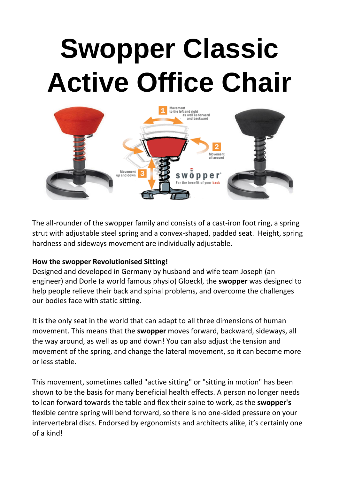# **Swopper Classic Active Office Chair**



The all-rounder of the swopper family and consists of a cast-iron foot ring, a spring strut with adjustable steel spring and a convex-shaped, padded seat. Height, spring hardness and sideways movement are individually adjustable.

## **How the swopper Revolutionised Sitting!**

Designed and developed in Germany by husband and wife team Joseph (an engineer) and Dorle (a world famous physio) Gloeckl, the **swopper** was designed to help people relieve their back and spinal problems, and overcome the challenges our bodies face with static sitting.

It is the only seat in the world that can adapt to all three dimensions of human movement. This means that the **swopper** moves forward, backward, sideways, all the way around, as well as up and down! You can also adjust the tension and movement of the spring, and change the lateral movement, so it can become more or less stable.

This movement, sometimes called "active sitting" or "sitting in motion" has been shown to be the basis for many beneficial health effects. A person no longer needs to lean forward towards the table and flex their spine to work, as the **swopper's** flexible centre spring will bend forward, so there is no one-sided pressure on your intervertebral discs. Endorsed by ergonomists and architects alike, it's certainly one of a kind!